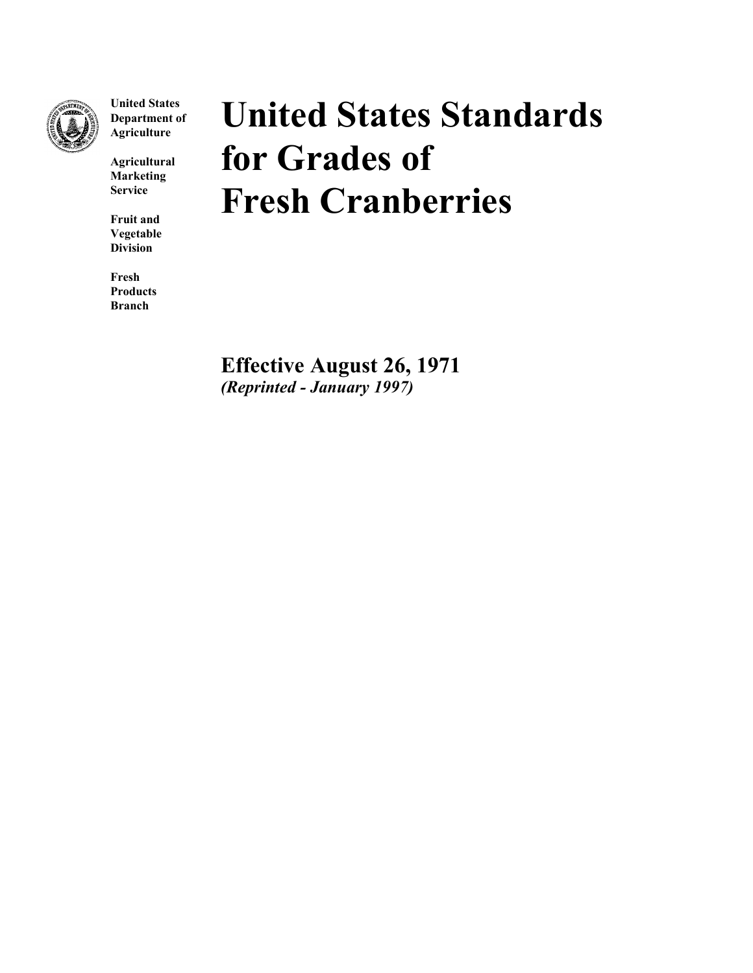

**United States Department of Agriculture**

**Agricultural Marketing Service**

**Fruit and Vegetable Division**

**Fresh Products Branch**

# **United States Standards for Grades of Fresh Cranberries**

**Effective August 26, 1971** *(Reprinted - January 1997)*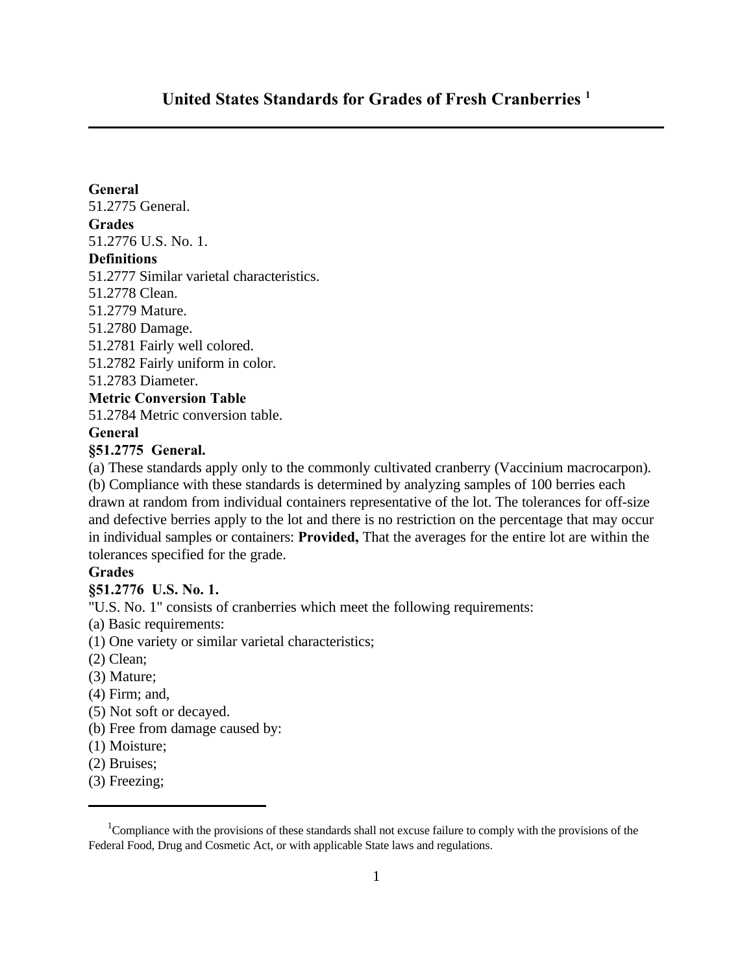# **United States Standards for Grades of Fresh Cranberries <sup>1</sup>**

#### **General**

51.2775 General.

#### **Grades**

51.2776 U.S. No. 1.

## **Definitions**

51.2777 Similar varietal characteristics.

- 51.2778 Clean.
- 51.2779 Mature.
- 51.2780 Damage.
- 51.2781 Fairly well colored.
- 51.2782 Fairly uniform in color.
- 51.2783 Diameter.

#### **Metric Conversion Table**

51.2784 Metric conversion table.

#### **General**

#### **§51.2775 General.**

(a) These standards apply only to the commonly cultivated cranberry (Vaccinium macrocarpon).

(b) Compliance with these standards is determined by analyzing samples of 100 berries each drawn at random from individual containers representative of the lot. The tolerances for off-size and defective berries apply to the lot and there is no restriction on the percentage that may occur in individual samples or containers: **Provided,** That the averages for the entire lot are within the tolerances specified for the grade.

#### **Grades**

#### **§51.2776 U.S. No. 1.**

"U.S. No. 1" consists of cranberries which meet the following requirements:

- (a) Basic requirements:
- (1) One variety or similar varietal characteristics;
- (2) Clean;
- (3) Mature;
- (4) Firm; and,
- (5) Not soft or decayed.
- (b) Free from damage caused by:
- (1) Moisture;
- (2) Bruises;
- (3) Freezing;

<sup>&</sup>lt;sup>1</sup>Compliance with the provisions of these standards shall not excuse failure to comply with the provisions of the Federal Food, Drug and Cosmetic Act, or with applicable State laws and regulations.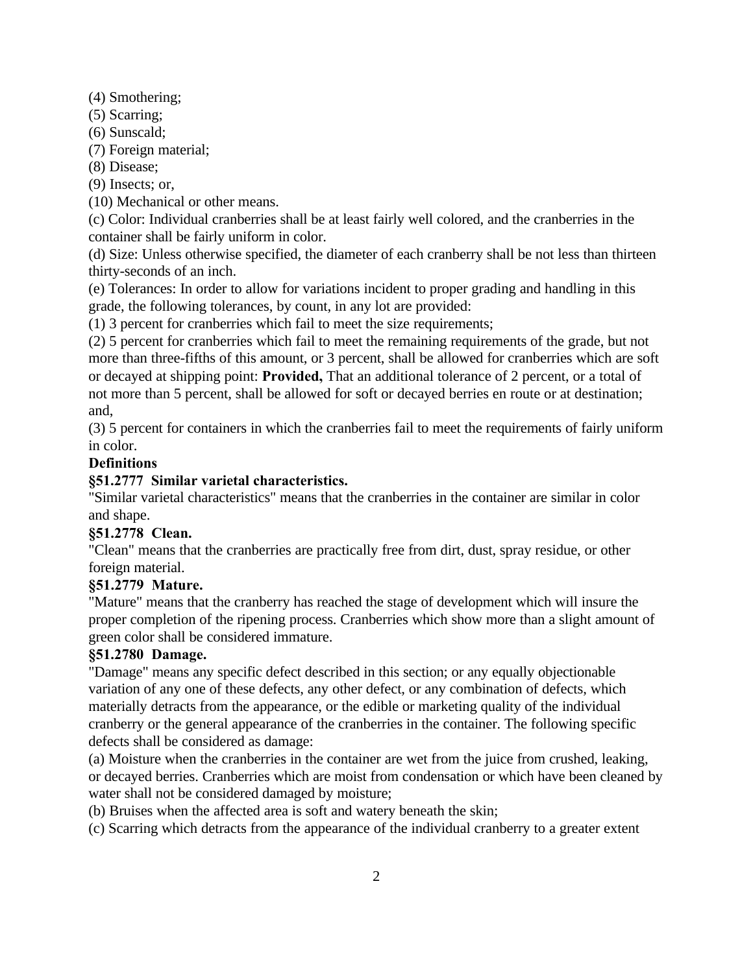(4) Smothering;

- (5) Scarring;
- (6) Sunscald;
- (7) Foreign material;

(8) Disease;

(9) Insects; or,

(10) Mechanical or other means.

(c) Color: Individual cranberries shall be at least fairly well colored, and the cranberries in the container shall be fairly uniform in color.

(d) Size: Unless otherwise specified, the diameter of each cranberry shall be not less than thirteen thirty-seconds of an inch.

(e) Tolerances: In order to allow for variations incident to proper grading and handling in this grade, the following tolerances, by count, in any lot are provided:

(1) 3 percent for cranberries which fail to meet the size requirements;

(2) 5 percent for cranberries which fail to meet the remaining requirements of the grade, but not more than three-fifths of this amount, or 3 percent, shall be allowed for cranberries which are soft or decayed at shipping point: **Provided,** That an additional tolerance of 2 percent, or a total of not more than 5 percent, shall be allowed for soft or decayed berries en route or at destination; and,

(3) 5 percent for containers in which the cranberries fail to meet the requirements of fairly uniform in color.

# **Definitions**

# **§51.2777 Similar varietal characteristics.**

"Similar varietal characteristics" means that the cranberries in the container are similar in color and shape.

## **§51.2778 Clean.**

"Clean" means that the cranberries are practically free from dirt, dust, spray residue, or other foreign material.

## **§51.2779 Mature.**

"Mature" means that the cranberry has reached the stage of development which will insure the proper completion of the ripening process. Cranberries which show more than a slight amount of green color shall be considered immature.

# **§51.2780 Damage.**

"Damage" means any specific defect described in this section; or any equally objectionable variation of any one of these defects, any other defect, or any combination of defects, which materially detracts from the appearance, or the edible or marketing quality of the individual cranberry or the general appearance of the cranberries in the container. The following specific defects shall be considered as damage:

(a) Moisture when the cranberries in the container are wet from the juice from crushed, leaking, or decayed berries. Cranberries which are moist from condensation or which have been cleaned by water shall not be considered damaged by moisture;

(b) Bruises when the affected area is soft and watery beneath the skin;

(c) Scarring which detracts from the appearance of the individual cranberry to a greater extent